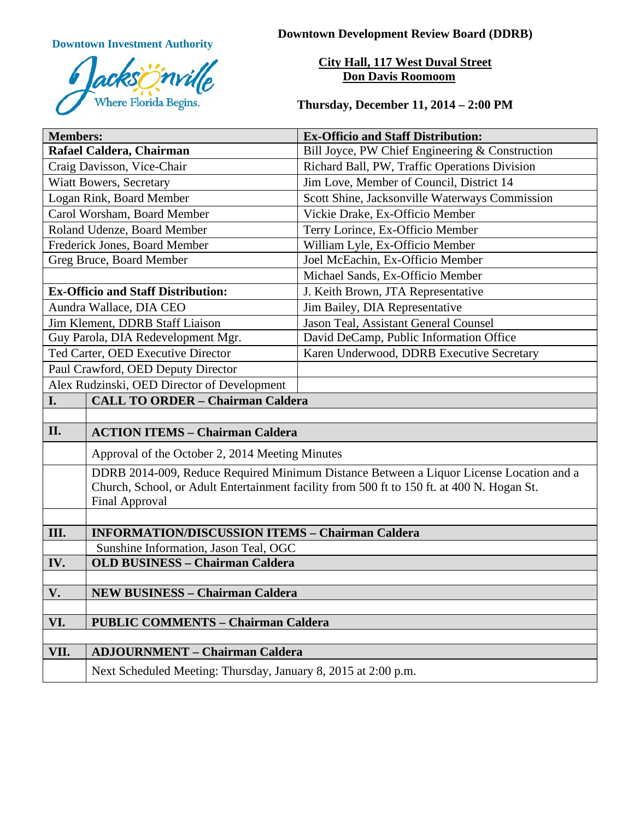

**Downtown Investment Authority Downtown Development Review Board (DDRB)** 

**City Hall, 117 West Duval Street Don Davis Roomoom**

**Thursday, December 11, 2014 – 2:00 PM**

| <b>Members:</b>                             |                                                                                                                                                                                                                | <b>Ex-Officio and Staff Distribution:</b>       |
|---------------------------------------------|----------------------------------------------------------------------------------------------------------------------------------------------------------------------------------------------------------------|-------------------------------------------------|
| Rafael Caldera, Chairman                    |                                                                                                                                                                                                                | Bill Joyce, PW Chief Engineering & Construction |
| Craig Davisson, Vice-Chair                  |                                                                                                                                                                                                                | Richard Ball, PW, Traffic Operations Division   |
| <b>Wiatt Bowers, Secretary</b>              |                                                                                                                                                                                                                | Jim Love, Member of Council, District 14        |
| Logan Rink, Board Member                    |                                                                                                                                                                                                                | Scott Shine, Jacksonville Waterways Commission  |
| Carol Worsham, Board Member                 |                                                                                                                                                                                                                | Vickie Drake, Ex-Officio Member                 |
| Roland Udenze, Board Member                 |                                                                                                                                                                                                                | Terry Lorince, Ex-Officio Member                |
| Frederick Jones, Board Member               |                                                                                                                                                                                                                | William Lyle, Ex-Officio Member                 |
| Greg Bruce, Board Member                    |                                                                                                                                                                                                                | Joel McEachin, Ex-Officio Member                |
|                                             |                                                                                                                                                                                                                | Michael Sands, Ex-Officio Member                |
| <b>Ex-Officio and Staff Distribution:</b>   |                                                                                                                                                                                                                | J. Keith Brown, JTA Representative              |
| Aundra Wallace, DIA CEO                     |                                                                                                                                                                                                                | Jim Bailey, DIA Representative                  |
| Jim Klement, DDRB Staff Liaison             |                                                                                                                                                                                                                | Jason Teal, Assistant General Counsel           |
| Guy Parola, DIA Redevelopment Mgr.          |                                                                                                                                                                                                                | David DeCamp, Public Information Office         |
| Ted Carter, OED Executive Director          |                                                                                                                                                                                                                | Karen Underwood, DDRB Executive Secretary       |
| Paul Crawford, OED Deputy Director          |                                                                                                                                                                                                                |                                                 |
| Alex Rudzinski, OED Director of Development |                                                                                                                                                                                                                |                                                 |
| I.                                          | <b>CALL TO ORDER - Chairman Caldera</b>                                                                                                                                                                        |                                                 |
|                                             |                                                                                                                                                                                                                |                                                 |
| II.                                         | <b>ACTION ITEMS - Chairman Caldera</b>                                                                                                                                                                         |                                                 |
|                                             | Approval of the October 2, 2014 Meeting Minutes                                                                                                                                                                |                                                 |
|                                             | DDRB 2014-009, Reduce Required Minimum Distance Between a Liquor License Location and a<br>Church, School, or Adult Entertainment facility from 500 ft to 150 ft. at 400 N. Hogan St.<br><b>Final Approval</b> |                                                 |
|                                             |                                                                                                                                                                                                                |                                                 |
| III.                                        | <b>INFORMATION/DISCUSSION ITEMS - Chairman Caldera</b>                                                                                                                                                         |                                                 |
|                                             | Sunshine Information, Jason Teal, OGC                                                                                                                                                                          |                                                 |
| IV.                                         | <b>OLD BUSINESS - Chairman Caldera</b>                                                                                                                                                                         |                                                 |
|                                             |                                                                                                                                                                                                                |                                                 |
| V.                                          | <b>NEW BUSINESS - Chairman Caldera</b>                                                                                                                                                                         |                                                 |
| VI.                                         | <b>PUBLIC COMMENTS - Chairman Caldera</b>                                                                                                                                                                      |                                                 |
|                                             |                                                                                                                                                                                                                |                                                 |
| VII.                                        | <b>ADJOURNMENT - Chairman Caldera</b>                                                                                                                                                                          |                                                 |
|                                             |                                                                                                                                                                                                                |                                                 |
|                                             | Next Scheduled Meeting: Thursday, January 8, 2015 at 2:00 p.m.                                                                                                                                                 |                                                 |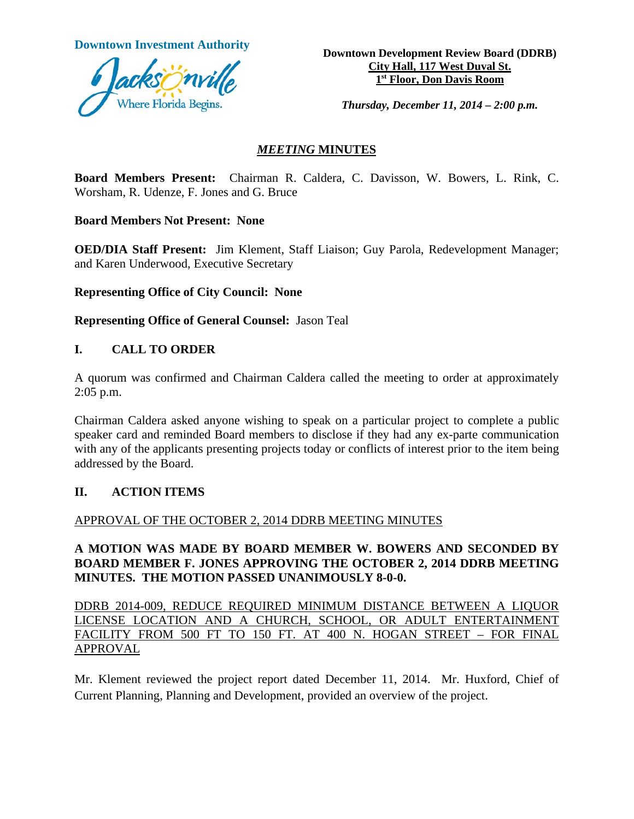

**Downtown Investment Authority Downtown Development Review Board (DDRB) City Hall, 117 West Duval St. 1st Floor, Don Davis Room**

*Thursday, December 11, 2014 – 2:00 p.m.*

#### *MEETING* **MINUTES**

**Board Members Present:** Chairman R. Caldera, C. Davisson, W. Bowers, L. Rink, C. Worsham, R. Udenze, F. Jones and G. Bruce

**Board Members Not Present: None**

**OED/DIA Staff Present:** Jim Klement, Staff Liaison; Guy Parola, Redevelopment Manager; and Karen Underwood, Executive Secretary

**Representing Office of City Council: None**

**Representing Office of General Counsel:** Jason Teal

#### **I. CALL TO ORDER**

A quorum was confirmed and Chairman Caldera called the meeting to order at approximately 2:05 p.m.

Chairman Caldera asked anyone wishing to speak on a particular project to complete a public speaker card and reminded Board members to disclose if they had any ex-parte communication with any of the applicants presenting projects today or conflicts of interest prior to the item being addressed by the Board.

## **II. ACTION ITEMS**

## APPROVAL OF THE OCTOBER 2, 2014 DDRB MEETING MINUTES

#### **A MOTION WAS MADE BY BOARD MEMBER W. BOWERS AND SECONDED BY BOARD MEMBER F. JONES APPROVING THE OCTOBER 2, 2014 DDRB MEETING MINUTES. THE MOTION PASSED UNANIMOUSLY 8-0-0.**

DDRB 2014-009, REDUCE REQUIRED MINIMUM DISTANCE BETWEEN A LIQUOR LICENSE LOCATION AND A CHURCH, SCHOOL, OR ADULT ENTERTAINMENT FACILITY FROM 500 FT TO 150 FT. AT 400 N. HOGAN STREET – FOR FINAL APPROVAL

Mr. Klement reviewed the project report dated December 11, 2014. Mr. Huxford, Chief of Current Planning, Planning and Development, provided an overview of the project.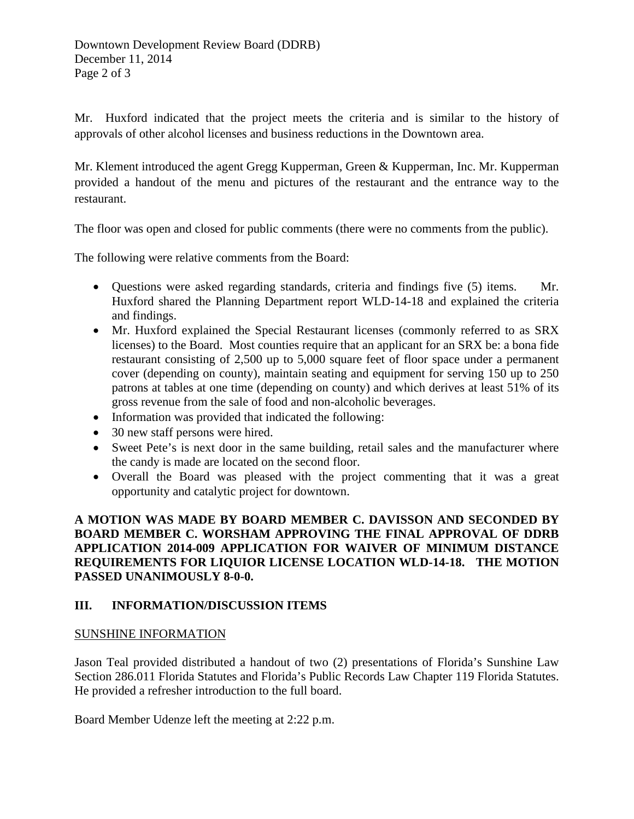Mr. Huxford indicated that the project meets the criteria and is similar to the history of approvals of other alcohol licenses and business reductions in the Downtown area.

Mr. Klement introduced the agent Gregg Kupperman, Green & Kupperman, Inc. Mr. Kupperman provided a handout of the menu and pictures of the restaurant and the entrance way to the restaurant.

The floor was open and closed for public comments (there were no comments from the public).

The following were relative comments from the Board:

- Questions were asked regarding standards, criteria and findings five (5) items. Mr. Huxford shared the Planning Department report WLD-14-18 and explained the criteria and findings.
- Mr. Huxford explained the Special Restaurant licenses (commonly referred to as SRX licenses) to the Board. Most counties require that an applicant for an SRX be: a bona fide restaurant consisting of 2,500 up to 5,000 square feet of floor space under a permanent cover (depending on county), maintain seating and equipment for serving 150 up to 250 patrons at tables at one time (depending on county) and which derives at least 51% of its gross revenue from the sale of food and non-alcoholic beverages.
- Information was provided that indicated the following:
- 30 new staff persons were hired.
- Sweet Pete's is next door in the same building, retail sales and the manufacturer where the candy is made are located on the second floor.
- Overall the Board was pleased with the project commenting that it was a great opportunity and catalytic project for downtown.

#### **A MOTION WAS MADE BY BOARD MEMBER C. DAVISSON AND SECONDED BY BOARD MEMBER C. WORSHAM APPROVING THE FINAL APPROVAL OF DDRB APPLICATION 2014-009 APPLICATION FOR WAIVER OF MINIMUM DISTANCE REQUIREMENTS FOR LIQUIOR LICENSE LOCATION WLD-14-18. THE MOTION PASSED UNANIMOUSLY 8-0-0.**

## **III. INFORMATION/DISCUSSION ITEMS**

#### SUNSHINE INFORMATION

Jason Teal provided distributed a handout of two (2) presentations of Florida's Sunshine Law Section 286.011 Florida Statutes and Florida's Public Records Law Chapter 119 Florida Statutes. He provided a refresher introduction to the full board.

Board Member Udenze left the meeting at 2:22 p.m.